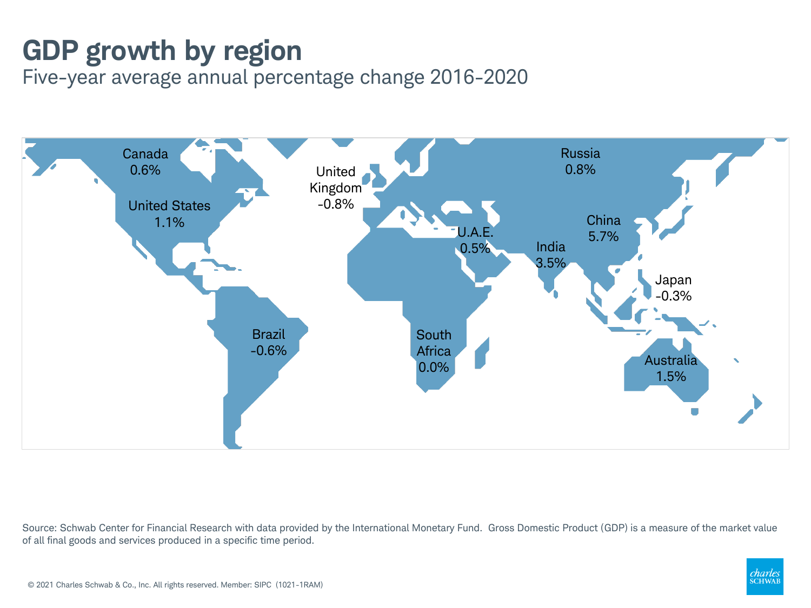## **GDP growth by region**

Five-year average annual percentage change 2016-2020



Source: Schwab Center for Financial Research with data provided by the International Monetary Fund. Gross Domestic Product (GDP) is a measure of the market value of all final goods and services produced in a specific time period.